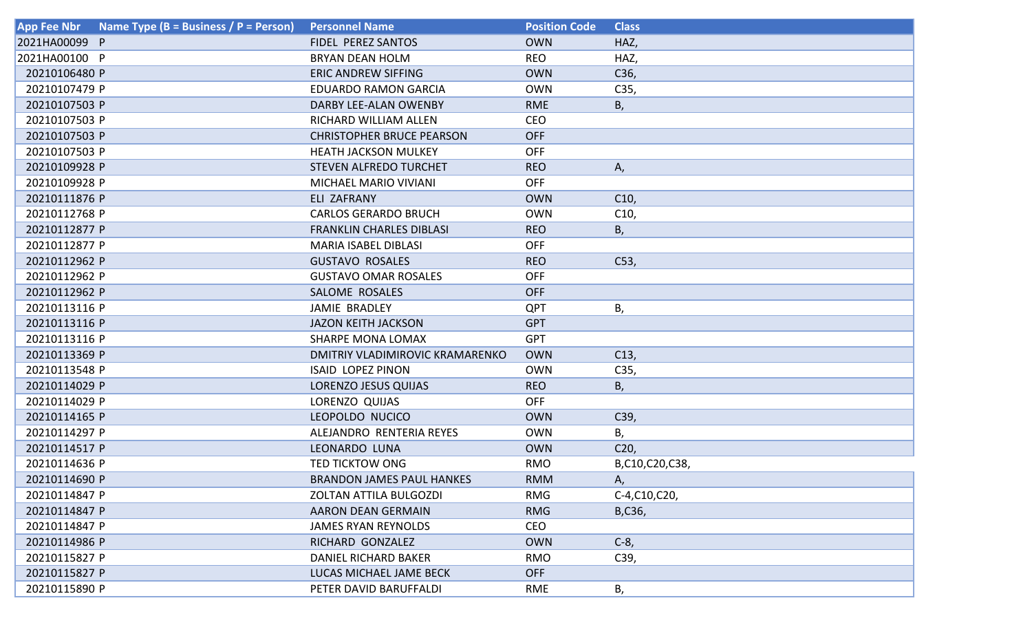| Name Type (B = Business / P = Person)<br><b>App Fee Nbr</b> | <b>Personnel Name</b>            | <b>Position Code</b> | <b>Class</b>    |
|-------------------------------------------------------------|----------------------------------|----------------------|-----------------|
| 2021HA00099 P                                               | FIDEL PEREZ SANTOS               | <b>OWN</b>           | HAZ,            |
| 2021HA00100 P                                               | <b>BRYAN DEAN HOLM</b>           | <b>REO</b>           | HAZ,            |
| 20210106480 P                                               | <b>ERIC ANDREW SIFFING</b>       | <b>OWN</b>           | C36,            |
| 20210107479 P                                               | <b>EDUARDO RAMON GARCIA</b>      | <b>OWN</b>           | C35,            |
| 20210107503 P                                               | DARBY LEE-ALAN OWENBY            | <b>RME</b>           | В,              |
| 20210107503 P                                               | RICHARD WILLIAM ALLEN            | CEO                  |                 |
| 20210107503 P                                               | <b>CHRISTOPHER BRUCE PEARSON</b> | <b>OFF</b>           |                 |
| 20210107503 P                                               | <b>HEATH JACKSON MULKEY</b>      | <b>OFF</b>           |                 |
| 20210109928 P                                               | <b>STEVEN ALFREDO TURCHET</b>    | <b>REO</b>           | Α,              |
| 20210109928 P                                               | <b>MICHAEL MARIO VIVIANI</b>     | <b>OFF</b>           |                 |
| 20210111876 P                                               | <b>ELI ZAFRANY</b>               | <b>OWN</b>           | C10,            |
| 20210112768 P                                               | <b>CARLOS GERARDO BRUCH</b>      | <b>OWN</b>           | C10,            |
| 20210112877 P                                               | <b>FRANKLIN CHARLES DIBLASI</b>  | <b>REO</b>           | В,              |
| 20210112877 P                                               | <b>MARIA ISABEL DIBLASI</b>      | <b>OFF</b>           |                 |
| 20210112962 P                                               | <b>GUSTAVO ROSALES</b>           | <b>REO</b>           | C53,            |
| 20210112962 P                                               | <b>GUSTAVO OMAR ROSALES</b>      | <b>OFF</b>           |                 |
| 20210112962 P                                               | SALOME ROSALES                   | <b>OFF</b>           |                 |
| 20210113116 P                                               | <b>JAMIE BRADLEY</b>             | <b>QPT</b>           | В,              |
| 20210113116 P                                               | <b>JAZON KEITH JACKSON</b>       | <b>GPT</b>           |                 |
| 20210113116 P                                               | <b>SHARPE MONA LOMAX</b>         | <b>GPT</b>           |                 |
| 20210113369 P                                               | DMITRIY VLADIMIROVIC KRAMARENKO  | <b>OWN</b>           | C13,            |
| 20210113548 P                                               | <b>ISAID LOPEZ PINON</b>         | <b>OWN</b>           | C35,            |
| 20210114029 P                                               | LORENZO JESUS QUIJAS             | <b>REO</b>           | В,              |
| 20210114029 P                                               | LORENZO QUIJAS                   | <b>OFF</b>           |                 |
| 20210114165 P                                               | LEOPOLDO NUCICO                  | <b>OWN</b>           | C39,            |
| 20210114297 P                                               | ALEJANDRO RENTERIA REYES         | <b>OWN</b>           | Β,              |
| 20210114517 P                                               | <b>LEONARDO LUNA</b>             | <b>OWN</b>           | C <sub>20</sub> |
| 20210114636 P                                               | <b>TED TICKTOW ONG</b>           | <b>RMO</b>           | B,C10,C20,C38,  |
| 20210114690 P                                               | <b>BRANDON JAMES PAUL HANKES</b> | <b>RMM</b>           | Α,              |
| 20210114847 P                                               | <b>ZOLTAN ATTILA BULGOZDI</b>    | <b>RMG</b>           | C-4, C10, C20,  |
| 20210114847 P                                               | <b>AARON DEAN GERMAIN</b>        | <b>RMG</b>           | B,C36,          |
| 20210114847 P                                               | <b>JAMES RYAN REYNOLDS</b>       | CEO                  |                 |
| 20210114986 P                                               | RICHARD GONZALEZ                 | <b>OWN</b>           | $C-8$ ,         |
| 20210115827 P                                               | DANIEL RICHARD BAKER             | <b>RMO</b>           | C39,            |
| 20210115827 P                                               | LUCAS MICHAEL JAME BECK          | <b>OFF</b>           |                 |
| 20210115890 P                                               | PETER DAVID BARUFFALDI           | RME                  | В,              |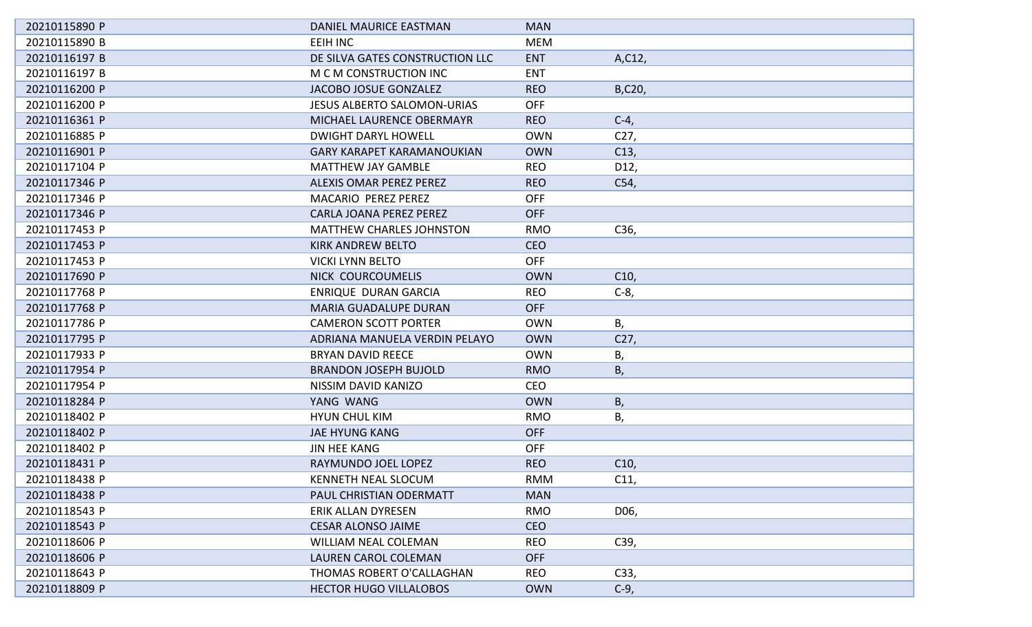| 20210115890 P | DANIEL MAURICE EASTMAN             | <b>MAN</b> |                 |
|---------------|------------------------------------|------------|-----------------|
| 20210115890 B | EEIH INC                           | <b>MEM</b> |                 |
| 20210116197 B | DE SILVA GATES CONSTRUCTION LLC    | <b>ENT</b> | A,C12,          |
| 20210116197 B | M C M CONSTRUCTION INC             | <b>ENT</b> |                 |
| 20210116200 P | JACOBO JOSUE GONZALEZ              | <b>REO</b> | B,C20,          |
| 20210116200 P | <b>JESUS ALBERTO SALOMON-URIAS</b> | <b>OFF</b> |                 |
| 20210116361 P | MICHAEL LAURENCE OBERMAYR          | <b>REO</b> | $C-4$           |
| 20210116885 P | <b>DWIGHT DARYL HOWELL</b>         | <b>OWN</b> | C <sub>27</sub> |
| 20210116901 P | <b>GARY KARAPET KARAMANOUKIAN</b>  | <b>OWN</b> | C13,            |
| 20210117104 P | <b>MATTHEW JAY GAMBLE</b>          | <b>REO</b> | D12,            |
| 20210117346 P | <b>ALEXIS OMAR PEREZ PEREZ</b>     | <b>REO</b> | C54,            |
| 20210117346 P | MACARIO PEREZ PEREZ                | <b>OFF</b> |                 |
| 20210117346 P | CARLA JOANA PEREZ PEREZ            | <b>OFF</b> |                 |
| 20210117453 P | <b>MATTHEW CHARLES JOHNSTON</b>    | <b>RMO</b> | C36,            |
| 20210117453 P | <b>KIRK ANDREW BELTO</b>           | <b>CEO</b> |                 |
| 20210117453 P | <b>VICKI LYNN BELTO</b>            | <b>OFF</b> |                 |
| 20210117690 P | NICK COURCOUMELIS                  | <b>OWN</b> | C10,            |
| 20210117768 P | <b>ENRIQUE DURAN GARCIA</b>        | <b>REO</b> | $C-8$           |
| 20210117768 P | <b>MARIA GUADALUPE DURAN</b>       | <b>OFF</b> |                 |
| 20210117786 P | <b>CAMERON SCOTT PORTER</b>        | <b>OWN</b> | Β,              |
| 20210117795 P | ADRIANA MANUELA VERDIN PELAYO      | <b>OWN</b> | C <sub>27</sub> |
| 20210117933 P | <b>BRYAN DAVID REECE</b>           | <b>OWN</b> | Β,              |
| 20210117954 P | <b>BRANDON JOSEPH BUJOLD</b>       | <b>RMO</b> | Β,              |
| 20210117954 P | NISSIM DAVID KANIZO                | <b>CEO</b> |                 |
| 20210118284 P | YANG WANG                          | <b>OWN</b> | B,              |
| 20210118402 P | <b>HYUN CHUL KIM</b>               | <b>RMO</b> | Β,              |
| 20210118402 P | <b>JAE HYUNG KANG</b>              | <b>OFF</b> |                 |
| 20210118402 P | <b>JIN HEE KANG</b>                | <b>OFF</b> |                 |
| 20210118431 P | RAYMUNDO JOEL LOPEZ                | <b>REO</b> | C10,            |
| 20210118438 P | KENNETH NEAL SLOCUM                | RMM        | C11,            |
| 20210118438 P | PAUL CHRISTIAN ODERMATT            | <b>MAN</b> |                 |
| 20210118543 P | ERIK ALLAN DYRESEN                 | <b>RMO</b> | D06,            |
| 20210118543 P | <b>CESAR ALONSO JAIME</b>          | <b>CEO</b> |                 |
| 20210118606 P | <b>WILLIAM NEAL COLEMAN</b>        | <b>REO</b> | C39,            |
| 20210118606 P | LAUREN CAROL COLEMAN               | <b>OFF</b> |                 |
| 20210118643 P | THOMAS ROBERT O'CALLAGHAN          | <b>REO</b> | C33,            |
| 20210118809 P | <b>HECTOR HUGO VILLALOBOS</b>      | <b>OWN</b> | $C-9$ ,         |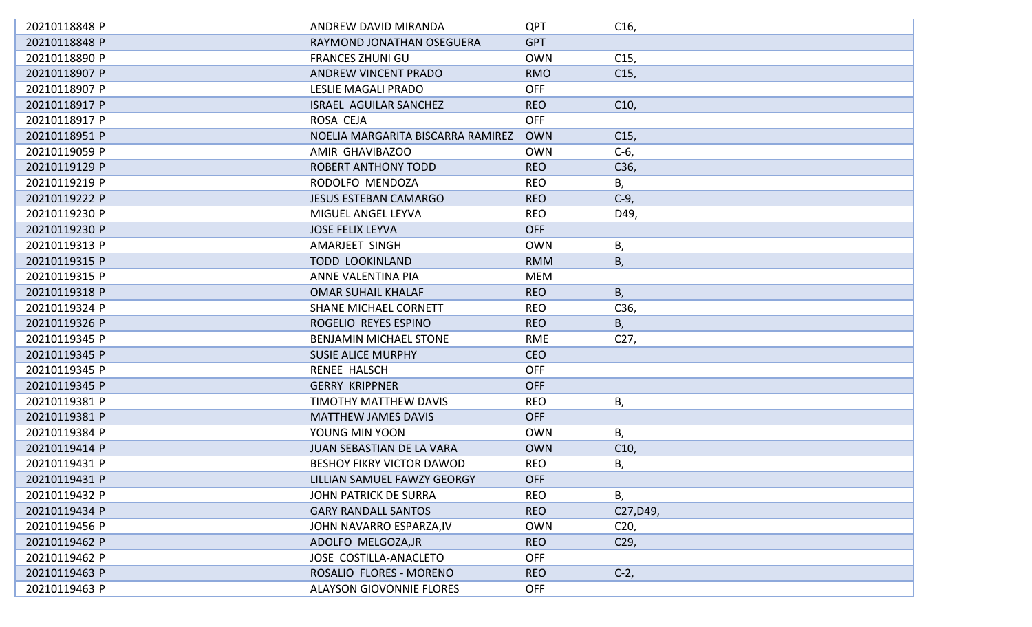| 20210118848 P | ANDREW DAVID MIRANDA              | <b>QPT</b> | C <sub>16</sub> |
|---------------|-----------------------------------|------------|-----------------|
| 20210118848 P | RAYMOND JONATHAN OSEGUERA         | <b>GPT</b> |                 |
| 20210118890 P | <b>FRANCES ZHUNI GU</b>           | <b>OWN</b> | C <sub>15</sub> |
| 20210118907 P | ANDREW VINCENT PRADO              | <b>RMO</b> | C <sub>15</sub> |
| 20210118907 P | LESLIE MAGALI PRADO               | <b>OFF</b> |                 |
| 20210118917 P | <b>ISRAEL AGUILAR SANCHEZ</b>     | <b>REO</b> | C10,            |
| 20210118917 P | ROSA CEJA                         | <b>OFF</b> |                 |
| 20210118951 P | NOELIA MARGARITA BISCARRA RAMIREZ | <b>OWN</b> | C <sub>15</sub> |
| 20210119059 P | AMIR GHAVIBAZOO                   | <b>OWN</b> | $C-6$           |
| 20210119129 P | ROBERT ANTHONY TODD               | <b>REO</b> | C36,            |
| 20210119219 P | RODOLFO MENDOZA                   | <b>REO</b> | Β,              |
| 20210119222 P | <b>JESUS ESTEBAN CAMARGO</b>      | <b>REO</b> | $C-9$           |
| 20210119230 P | MIGUEL ANGEL LEYVA                | <b>REO</b> | D49,            |
| 20210119230 P | <b>JOSE FELIX LEYVA</b>           | <b>OFF</b> |                 |
| 20210119313 P | AMARJEET SINGH                    | <b>OWN</b> | Β,              |
| 20210119315 P | <b>TODD LOOKINLAND</b>            | <b>RMM</b> | Β,              |
| 20210119315 P | ANNE VALENTINA PIA                | <b>MEM</b> |                 |
| 20210119318 P | <b>OMAR SUHAIL KHALAF</b>         | <b>REO</b> | B,              |
| 20210119324 P | <b>SHANE MICHAEL CORNETT</b>      | <b>REO</b> | C36,            |
| 20210119326 P | ROGELIO REYES ESPINO              | <b>REO</b> | В,              |
| 20210119345 P | BENJAMIN MICHAEL STONE            | <b>RME</b> | C <sub>27</sub> |
| 20210119345 P | <b>SUSIE ALICE MURPHY</b>         | <b>CEO</b> |                 |
| 20210119345 P | <b>RENEE HALSCH</b>               | <b>OFF</b> |                 |
| 20210119345 P | <b>GERRY KRIPPNER</b>             | <b>OFF</b> |                 |
| 20210119381 P | TIMOTHY MATTHEW DAVIS             | <b>REO</b> | В,              |
| 20210119381 P | <b>MATTHEW JAMES DAVIS</b>        | <b>OFF</b> |                 |
| 20210119384 P | YOUNG MIN YOON                    | <b>OWN</b> | Β,              |
| 20210119414 P | JUAN SEBASTIAN DE LA VARA         | <b>OWN</b> | C10,            |
| 20210119431 P | <b>BESHOY FIKRY VICTOR DAWOD</b>  | <b>REO</b> | Β,              |
| 20210119431 P | LILLIAN SAMUEL FAWZY GEORGY       | <b>OFF</b> |                 |
| 20210119432 P | JOHN PATRICK DE SURRA             | <b>REO</b> | B,              |
| 20210119434 P | <b>GARY RANDALL SANTOS</b>        | <b>REO</b> | C27, D49,       |
| 20210119456 P | JOHN NAVARRO ESPARZA, IV          | <b>OWN</b> | C <sub>20</sub> |
| 20210119462 P | ADOLFO MELGOZA, JR                | <b>REO</b> | C29,            |
| 20210119462 P | <b>JOSE COSTILLA-ANACLETO</b>     | <b>OFF</b> |                 |
| 20210119463 P | ROSALIO FLORES - MORENO           | <b>REO</b> | $C-2,$          |
| 20210119463 P | <b>ALAYSON GIOVONNIE FLORES</b>   | <b>OFF</b> |                 |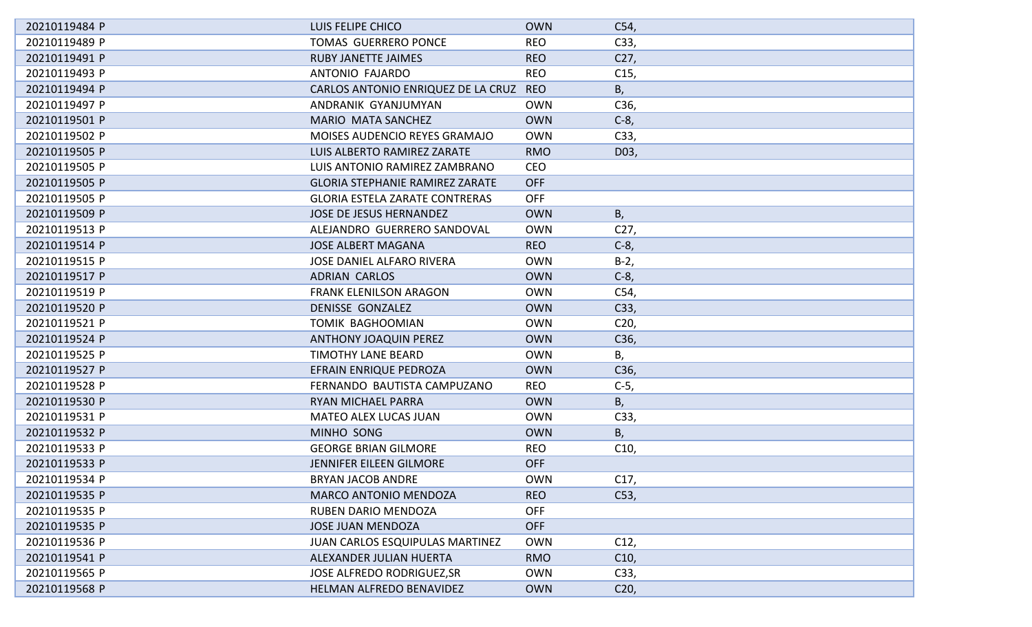| 20210119484 P | LUIS FELIPE CHICO                      | <b>OWN</b> | C54,            |
|---------------|----------------------------------------|------------|-----------------|
| 20210119489 P | <b>TOMAS GUERRERO PONCE</b>            | <b>REO</b> | C33,            |
| 20210119491 P | <b>RUBY JANETTE JAIMES</b>             | <b>REO</b> | C27,            |
| 20210119493 P | <b>ANTONIO FAJARDO</b>                 | <b>REO</b> | C <sub>15</sub> |
| 20210119494 P | CARLOS ANTONIO ENRIQUEZ DE LA CRUZ REO |            | В,              |
| 20210119497 P | ANDRANIK GYANJUMYAN                    | <b>OWN</b> | C36,            |
| 20210119501 P | <b>MARIO MATA SANCHEZ</b>              | <b>OWN</b> | $C-8$           |
| 20210119502 P | MOISES AUDENCIO REYES GRAMAJO          | <b>OWN</b> | C33,            |
| 20210119505 P | LUIS ALBERTO RAMIREZ ZARATE            | <b>RMO</b> | D03,            |
| 20210119505 P | LUIS ANTONIO RAMIREZ ZAMBRANO          | <b>CEO</b> |                 |
| 20210119505 P | <b>GLORIA STEPHANIE RAMIREZ ZARATE</b> | <b>OFF</b> |                 |
| 20210119505 P | <b>GLORIA ESTELA ZARATE CONTRERAS</b>  | <b>OFF</b> |                 |
| 20210119509 P | JOSE DE JESUS HERNANDEZ                | <b>OWN</b> | Β,              |
| 20210119513 P | ALEJANDRO GUERRERO SANDOVAL            | <b>OWN</b> | C27,            |
| 20210119514 P | <b>JOSE ALBERT MAGANA</b>              | <b>REO</b> | $C-8$           |
| 20210119515 P | <b>JOSE DANIEL ALFARO RIVERA</b>       | <b>OWN</b> | $B-2$           |
| 20210119517 P | <b>ADRIAN CARLOS</b>                   | <b>OWN</b> | $C-8$           |
| 20210119519 P | <b>FRANK ELENILSON ARAGON</b>          | <b>OWN</b> | C54,            |
| 20210119520 P | <b>DENISSE GONZALEZ</b>                | <b>OWN</b> | C33,            |
| 20210119521 P | <b>TOMIK BAGHOOMIAN</b>                | <b>OWN</b> | C <sub>20</sub> |
| 20210119524 P | <b>ANTHONY JOAQUIN PEREZ</b>           | <b>OWN</b> | C36,            |
| 20210119525 P | <b>TIMOTHY LANE BEARD</b>              | <b>OWN</b> | Β,              |
| 20210119527 P | EFRAIN ENRIQUE PEDROZA                 | <b>OWN</b> | C36,            |
| 20210119528 P | FERNANDO BAUTISTA CAMPUZANO            | <b>REO</b> | $C-5$ ,         |
| 20210119530 P | RYAN MICHAEL PARRA                     | <b>OWN</b> | Β,              |
| 20210119531 P | <b>MATEO ALEX LUCAS JUAN</b>           | <b>OWN</b> | C33,            |
| 20210119532 P | MINHO SONG                             | <b>OWN</b> | Β,              |
| 20210119533 P | <b>GEORGE BRIAN GILMORE</b>            | <b>REO</b> | C <sub>10</sub> |
| 20210119533 P | JENNIFER EILEEN GILMORE                | <b>OFF</b> |                 |
| 20210119534 P | <b>BRYAN JACOB ANDRE</b>               | <b>OWN</b> | C17,            |
| 20210119535 P | <b>MARCO ANTONIO MENDOZA</b>           | <b>REO</b> | C53,            |
| 20210119535 P | <b>RUBEN DARIO MENDOZA</b>             | <b>OFF</b> |                 |
| 20210119535 P | <b>JOSE JUAN MENDOZA</b>               | <b>OFF</b> |                 |
| 20210119536 P | <b>JUAN CARLOS ESQUIPULAS MARTINEZ</b> | <b>OWN</b> | C12,            |
| 20210119541 P | ALEXANDER JULIAN HUERTA                | <b>RMO</b> | C10,            |
| 20210119565 P | JOSE ALFREDO RODRIGUEZ, SR             | <b>OWN</b> | C33,            |
| 20210119568 P | HELMAN ALFREDO BENAVIDEZ               | <b>OWN</b> | C <sub>20</sub> |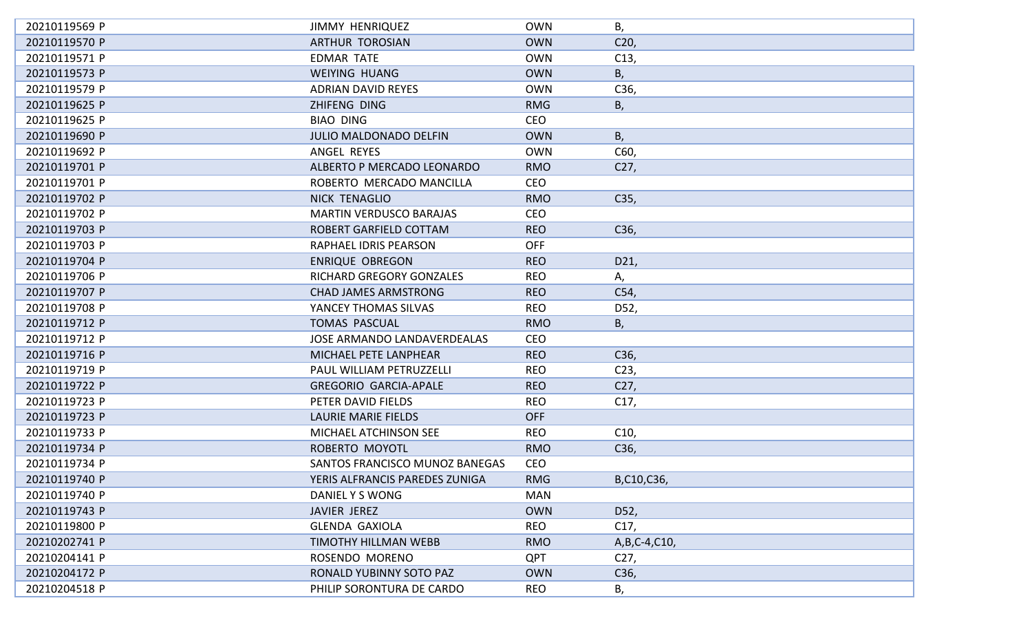| 20210119569 P | <b>JIMMY HENRIQUEZ</b>         | <b>OWN</b> | Β,              |
|---------------|--------------------------------|------------|-----------------|
| 20210119570 P | <b>ARTHUR TOROSIAN</b>         | <b>OWN</b> | C <sub>20</sub> |
| 20210119571 P | <b>EDMAR TATE</b>              | <b>OWN</b> | C13,            |
| 20210119573 P | <b>WEIYING HUANG</b>           | <b>OWN</b> | В,              |
| 20210119579 P | <b>ADRIAN DAVID REYES</b>      | <b>OWN</b> | C36,            |
| 20210119625 P | ZHIFENG DING                   | <b>RMG</b> | В,              |
| 20210119625 P | <b>BIAO DING</b>               | <b>CEO</b> |                 |
| 20210119690 P | <b>JULIO MALDONADO DELFIN</b>  | <b>OWN</b> | B,              |
| 20210119692 P | ANGEL REYES                    | <b>OWN</b> | C60,            |
| 20210119701 P | ALBERTO P MERCADO LEONARDO     | <b>RMO</b> | C <sub>27</sub> |
| 20210119701 P | ROBERTO MERCADO MANCILLA       | <b>CEO</b> |                 |
| 20210119702 P | <b>NICK TENAGLIO</b>           | <b>RMO</b> | C35,            |
| 20210119702 P | <b>MARTIN VERDUSCO BARAJAS</b> | <b>CEO</b> |                 |
| 20210119703 P | ROBERT GARFIELD COTTAM         | <b>REO</b> | C36,            |
| 20210119703 P | RAPHAEL IDRIS PEARSON          | <b>OFF</b> |                 |
| 20210119704 P | <b>ENRIQUE OBREGON</b>         | <b>REO</b> | D21,            |
| 20210119706 P | RICHARD GREGORY GONZALES       | <b>REO</b> | Α,              |
| 20210119707 P | <b>CHAD JAMES ARMSTRONG</b>    | <b>REO</b> | C54,            |
| 20210119708 P | YANCEY THOMAS SILVAS           | <b>REO</b> | D52,            |
| 20210119712 P | <b>TOMAS PASCUAL</b>           | <b>RMO</b> | В,              |
| 20210119712 P | JOSE ARMANDO LANDAVERDEALAS    | <b>CEO</b> |                 |
| 20210119716 P | MICHAEL PETE LANPHEAR          | <b>REO</b> | C36,            |
| 20210119719 P | PAUL WILLIAM PETRUZZELLI       | <b>REO</b> | C <sub>23</sub> |
| 20210119722 P | <b>GREGORIO GARCIA-APALE</b>   | <b>REO</b> | C27,            |
| 20210119723 P | PETER DAVID FIELDS             | <b>REO</b> | C17,            |
| 20210119723 P | <b>LAURIE MARIE FIELDS</b>     | <b>OFF</b> |                 |
| 20210119733 P | MICHAEL ATCHINSON SEE          | <b>REO</b> | C10,            |
| 20210119734 P | ROBERTO MOYOTL                 | <b>RMO</b> | C36,            |
| 20210119734 P | SANTOS FRANCISCO MUNOZ BANEGAS | <b>CEO</b> |                 |
| 20210119740 P | YERIS ALFRANCIS PAREDES ZUNIGA | <b>RMG</b> | B,C10,C36,      |
| 20210119740 P | DANIEL Y S WONG                | <b>MAN</b> |                 |
| 20210119743 P | JAVIER JEREZ                   | <b>OWN</b> | D52,            |
| 20210119800 P | <b>GLENDA GAXIOLA</b>          | <b>REO</b> | C17,            |
| 20210202741 P | TIMOTHY HILLMAN WEBB           | <b>RMO</b> | A, B, C-4, C10, |
| 20210204141 P | ROSENDO MORENO                 | <b>QPT</b> | C <sub>27</sub> |
| 20210204172 P | RONALD YUBINNY SOTO PAZ        | <b>OWN</b> | C36,            |
| 20210204518 P | PHILIP SORONTURA DE CARDO      | <b>REO</b> | В,              |